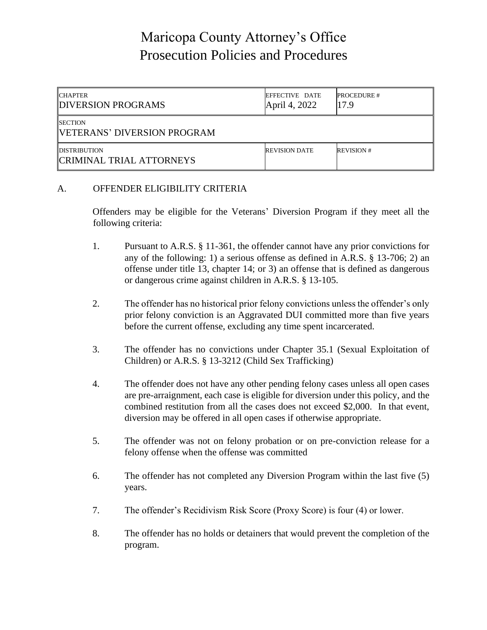# Maricopa County Attorney's Office Prosecution Policies and Procedures

| <b>CHAPTER</b><br><b>DIVERSION PROGRAMS</b>            | <b>EFFECTIVE DATE</b><br>April 4, 2022 | <b>PROCEDURE #</b><br>17.9 |
|--------------------------------------------------------|----------------------------------------|----------------------------|
| <b>ISECTION</b><br><b>IVETERANS' DIVERSION PROGRAM</b> |                                        |                            |
| <b>DISTRIBUTION</b><br><b>CRIMINAL TRIAL ATTORNEYS</b> | <b>REVISION DATE</b>                   | <b>REVISION#</b>           |

### A. OFFENDER ELIGIBILITY CRITERIA

Offenders may be eligible for the Veterans' Diversion Program if they meet all the following criteria:

- 1. Pursuant to A.R.S. § 11-361, the offender cannot have any prior convictions for any of the following: 1) a serious offense as defined in A.R.S. § 13-706; 2) an offense under title 13, chapter 14; or 3) an offense that is defined as dangerous or dangerous crime against children in A.R.S. § 13-105.
- 2. The offender has no historical prior felony convictions unless the offender's only prior felony conviction is an Aggravated DUI committed more than five years before the current offense, excluding any time spent incarcerated.
- 3. The offender has no convictions under Chapter 35.1 (Sexual Exploitation of Children) or A.R.S. § 13-3212 (Child Sex Trafficking)
- 4. The offender does not have any other pending felony cases unless all open cases are pre-arraignment, each case is eligible for diversion under this policy, and the combined restitution from all the cases does not exceed \$2,000. In that event, diversion may be offered in all open cases if otherwise appropriate.
- 5. The offender was not on felony probation or on pre-conviction release for a felony offense when the offense was committed
- 6. The offender has not completed any Diversion Program within the last five (5) years.
- 7. The offender's Recidivism Risk Score (Proxy Score) is four (4) or lower.
- 8. The offender has no holds or detainers that would prevent the completion of the program.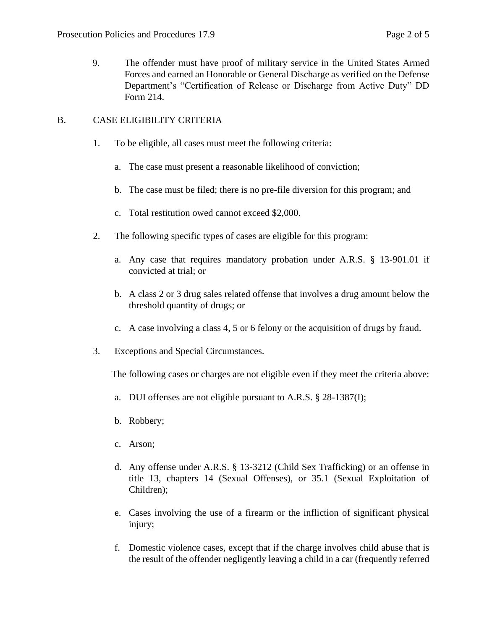9. The offender must have proof of military service in the United States Armed Forces and earned an Honorable or General Discharge as verified on the Defense Department's "Certification of Release or Discharge from Active Duty" DD Form 214.

## B. CASE ELIGIBILITY CRITERIA

- 1. To be eligible, all cases must meet the following criteria:
	- a. The case must present a reasonable likelihood of conviction;
	- b. The case must be filed; there is no pre-file diversion for this program; and
	- c. Total restitution owed cannot exceed \$2,000.
- 2. The following specific types of cases are eligible for this program:
	- a. Any case that requires mandatory probation under A.R.S. § 13-901.01 if convicted at trial; or
	- b. A class 2 or 3 drug sales related offense that involves a drug amount below the threshold quantity of drugs; or
	- c. A case involving a class 4, 5 or 6 felony or the acquisition of drugs by fraud.
- 3. Exceptions and Special Circumstances.

The following cases or charges are not eligible even if they meet the criteria above:

- a. DUI offenses are not eligible pursuant to A.R.S. § 28-1387(I);
- b. Robbery;
- c. Arson;
- d. Any offense under A.R.S. § 13-3212 (Child Sex Trafficking) or an offense in title 13, chapters 14 (Sexual Offenses), or 35.1 (Sexual Exploitation of Children);
- e. Cases involving the use of a firearm or the infliction of significant physical injury;
- f. Domestic violence cases, except that if the charge involves child abuse that is the result of the offender negligently leaving a child in a car (frequently referred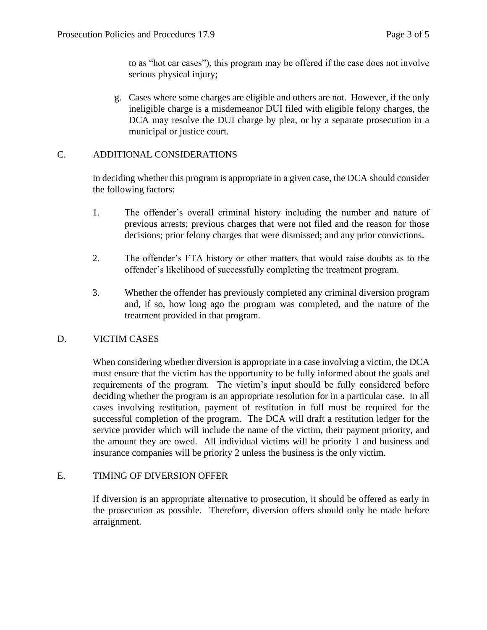to as "hot car cases"), this program may be offered if the case does not involve serious physical injury;

g. Cases where some charges are eligible and others are not. However, if the only ineligible charge is a misdemeanor DUI filed with eligible felony charges, the DCA may resolve the DUI charge by plea, or by a separate prosecution in a municipal or justice court.

# C. ADDITIONAL CONSIDERATIONS

In deciding whether this program is appropriate in a given case, the DCA should consider the following factors:

- 1. The offender's overall criminal history including the number and nature of previous arrests; previous charges that were not filed and the reason for those decisions; prior felony charges that were dismissed; and any prior convictions.
- 2. The offender's FTA history or other matters that would raise doubts as to the offender's likelihood of successfully completing the treatment program.
- 3. Whether the offender has previously completed any criminal diversion program and, if so, how long ago the program was completed, and the nature of the treatment provided in that program.

# D. VICTIM CASES

When considering whether diversion is appropriate in a case involving a victim, the DCA must ensure that the victim has the opportunity to be fully informed about the goals and requirements of the program. The victim's input should be fully considered before deciding whether the program is an appropriate resolution for in a particular case. In all cases involving restitution, payment of restitution in full must be required for the successful completion of the program. The DCA will draft a restitution ledger for the service provider which will include the name of the victim, their payment priority, and the amount they are owed. All individual victims will be priority 1 and business and insurance companies will be priority 2 unless the business is the only victim.

## E. TIMING OF DIVERSION OFFER

If diversion is an appropriate alternative to prosecution, it should be offered as early in the prosecution as possible. Therefore, diversion offers should only be made before arraignment.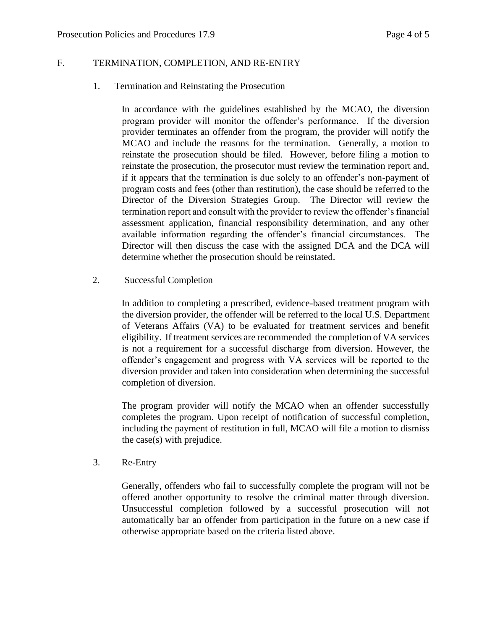### F. TERMINATION, COMPLETION, AND RE-ENTRY

1. Termination and Reinstating the Prosecution

In accordance with the guidelines established by the MCAO, the diversion program provider will monitor the offender's performance. If the diversion provider terminates an offender from the program, the provider will notify the MCAO and include the reasons for the termination. Generally, a motion to reinstate the prosecution should be filed. However, before filing a motion to reinstate the prosecution, the prosecutor must review the termination report and, if it appears that the termination is due solely to an offender's non-payment of program costs and fees (other than restitution), the case should be referred to the Director of the Diversion Strategies Group. The Director will review the termination report and consult with the provider to review the offender's financial assessment application, financial responsibility determination, and any other available information regarding the offender's financial circumstances. The Director will then discuss the case with the assigned DCA and the DCA will determine whether the prosecution should be reinstated.

2. Successful Completion

In addition to completing a prescribed, evidence-based treatment program with the diversion provider, the offender will be referred to the local U.S. Department of Veterans Affairs (VA) to be evaluated for treatment services and benefit eligibility. If treatment services are recommended the completion of VA services is not a requirement for a successful discharge from diversion. However, the offender's engagement and progress with VA services will be reported to the diversion provider and taken into consideration when determining the successful completion of diversion.

The program provider will notify the MCAO when an offender successfully completes the program. Upon receipt of notification of successful completion, including the payment of restitution in full, MCAO will file a motion to dismiss the case(s) with prejudice.

3. Re-Entry

Generally, offenders who fail to successfully complete the program will not be offered another opportunity to resolve the criminal matter through diversion. Unsuccessful completion followed by a successful prosecution will not automatically bar an offender from participation in the future on a new case if otherwise appropriate based on the criteria listed above.